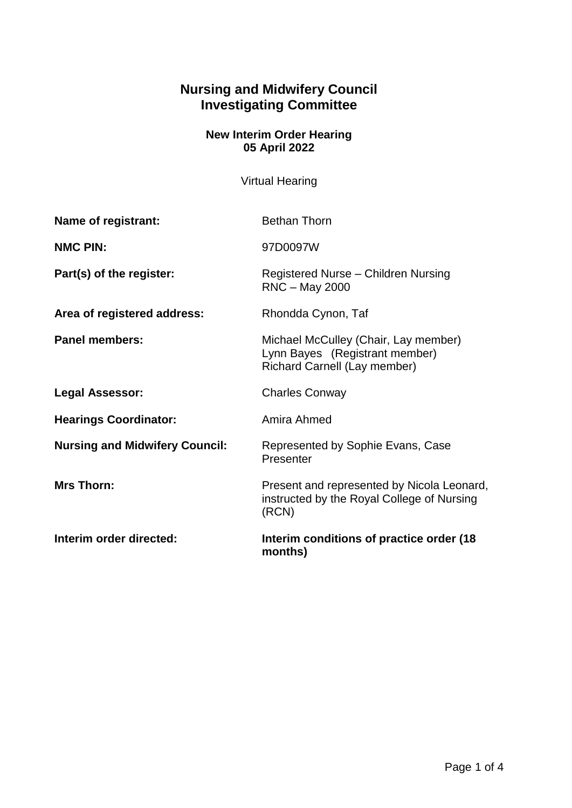## **Nursing and Midwifery Council Investigating Committee**

## **New Interim Order Hearing 05 April 2022**

Virtual Hearing

| <b>Name of registrant:</b>            | <b>Bethan Thorn</b>                                                                                    |
|---------------------------------------|--------------------------------------------------------------------------------------------------------|
| <b>NMC PIN:</b>                       | 97D0097W                                                                                               |
| Part(s) of the register:              | Registered Nurse - Children Nursing<br>RNC - May 2000                                                  |
| Area of registered address:           | Rhondda Cynon, Taf                                                                                     |
| <b>Panel members:</b>                 | Michael McCulley (Chair, Lay member)<br>Lynn Bayes (Registrant member)<br>Richard Carnell (Lay member) |
| <b>Legal Assessor:</b>                | <b>Charles Conway</b>                                                                                  |
| <b>Hearings Coordinator:</b>          | Amira Ahmed                                                                                            |
| <b>Nursing and Midwifery Council:</b> | Represented by Sophie Evans, Case<br>Presenter                                                         |
| <b>Mrs Thorn:</b>                     | Present and represented by Nicola Leonard,<br>instructed by the Royal College of Nursing<br>(RCN)      |
| Interim order directed:               | Interim conditions of practice order (18)<br>months)                                                   |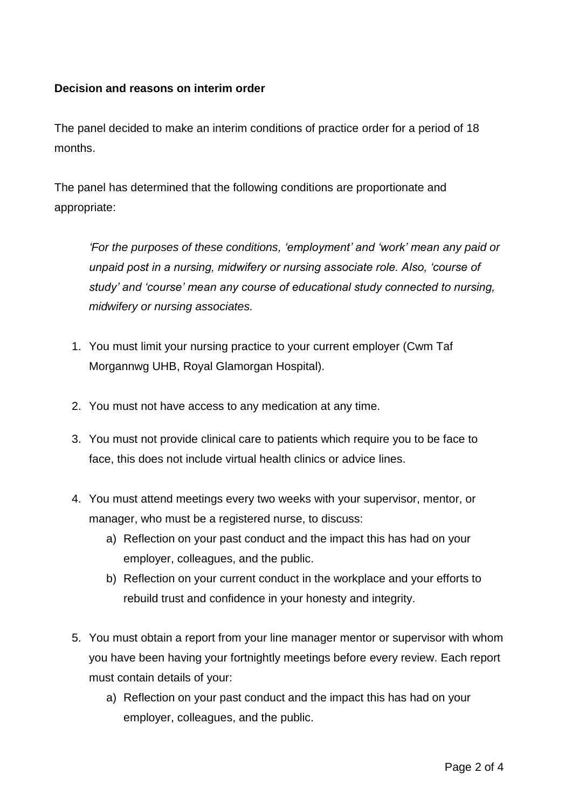## **Decision and reasons on interim order**

The panel decided to make an interim conditions of practice order for a period of 18 months.

The panel has determined that the following conditions are proportionate and appropriate:

*'For the purposes of these conditions, 'employment' and 'work' mean any paid or unpaid post in a nursing, midwifery or nursing associate role. Also, 'course of study' and 'course' mean any course of educational study connected to nursing, midwifery or nursing associates.*

- 1. You must limit your nursing practice to your current employer (Cwm Taf Morgannwg UHB, Royal Glamorgan Hospital).
- 2. You must not have access to any medication at any time.
- 3. You must not provide clinical care to patients which require you to be face to face, this does not include virtual health clinics or advice lines.
- 4. You must attend meetings every two weeks with your supervisor, mentor, or manager, who must be a registered nurse, to discuss:
	- a) Reflection on your past conduct and the impact this has had on your employer, colleagues, and the public.
	- b) Reflection on your current conduct in the workplace and your efforts to rebuild trust and confidence in your honesty and integrity.
- 5. You must obtain a report from your line manager mentor or supervisor with whom you have been having your fortnightly meetings before every review. Each report must contain details of your:
	- a) Reflection on your past conduct and the impact this has had on your employer, colleagues, and the public.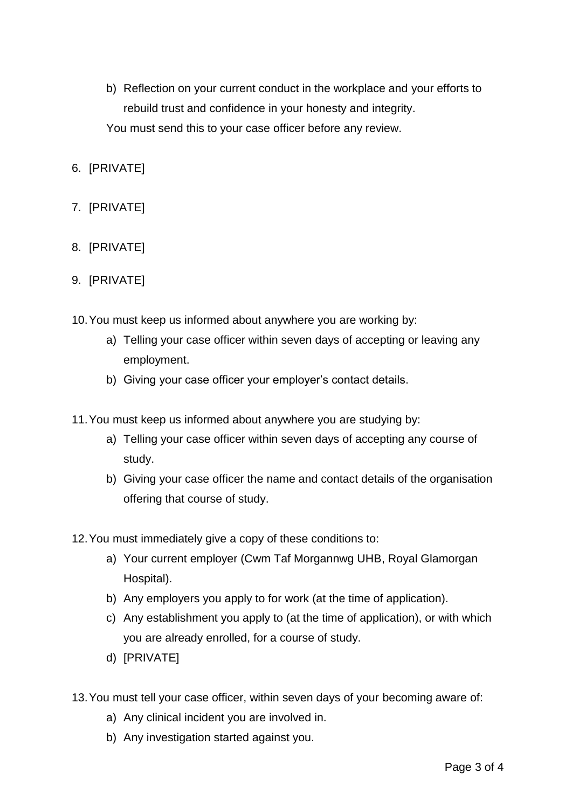- b) Reflection on your current conduct in the workplace and your efforts to rebuild trust and confidence in your honesty and integrity. You must send this to your case officer before any review.
- 6. [PRIVATE]
- 7. [PRIVATE]
- 8. [PRIVATE]
- 9. [PRIVATE]
- 10.You must keep us informed about anywhere you are working by:
	- a) Telling your case officer within seven days of accepting or leaving any employment.
	- b) Giving your case officer your employer's contact details.
- 11.You must keep us informed about anywhere you are studying by:
	- a) Telling your case officer within seven days of accepting any course of study.
	- b) Giving your case officer the name and contact details of the organisation offering that course of study.
- 12.You must immediately give a copy of these conditions to:
	- a) Your current employer (Cwm Taf Morgannwg UHB, Royal Glamorgan Hospital).
	- b) Any employers you apply to for work (at the time of application).
	- c) Any establishment you apply to (at the time of application), or with which you are already enrolled, for a course of study.
	- d) [PRIVATE]
- 13.You must tell your case officer, within seven days of your becoming aware of:
	- a) Any clinical incident you are involved in.
	- b) Any investigation started against you.